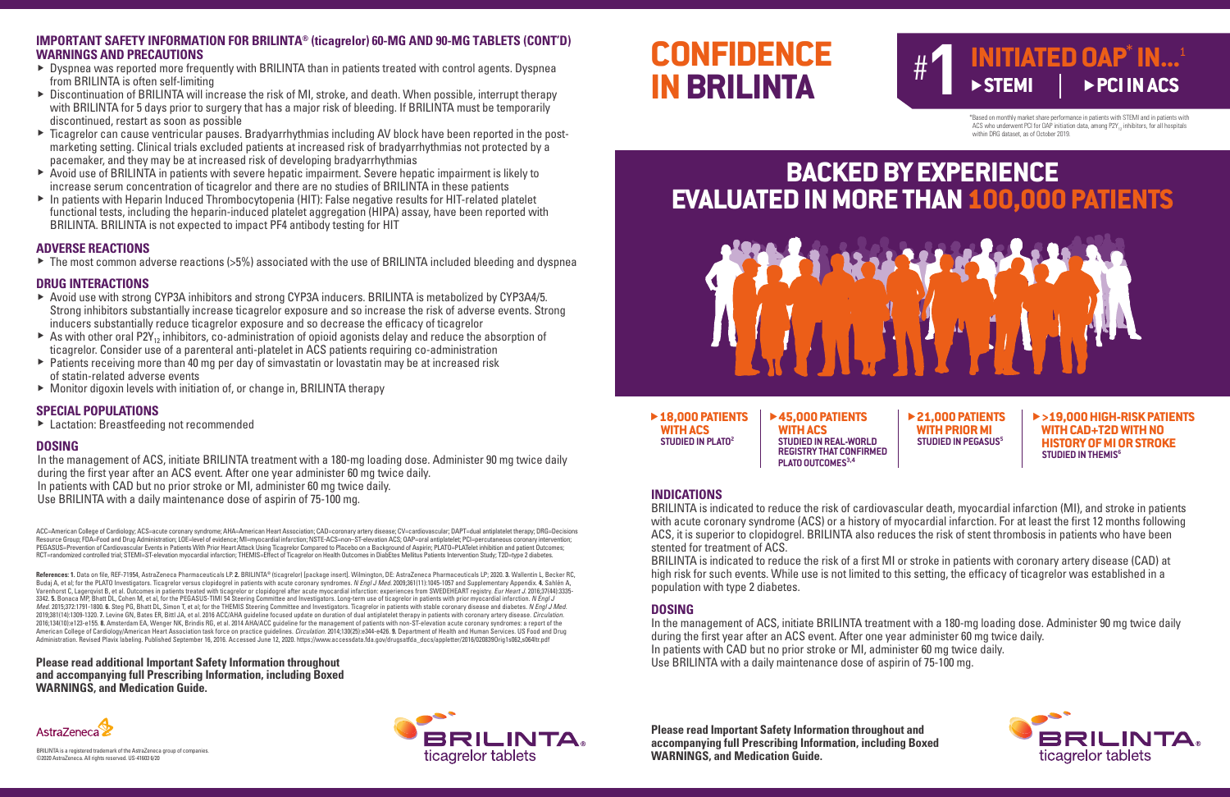# **CONFIDENCE IN BRILINTA**

\*Based on monthly market share performance in patients with STEMI and in patients with ACS who underwent PCI for OAP initiation data, among  $P2Y_{12}$  inhibitors, for all hospitals within DRG dataset, as of October 2019.

▶**18,000 PATIENTS WITH ACS STUDIED IN PLATO2**

�**45,000 PATIENTS WITH ACS STUDIED IN REAL-WORLD REGISTRY THAT CONFIRMED PLATO OUTCOMES**<sup>3,4</sup>

�**21,000 PATIENTS WITH PRIOR MI STUDIED IN PEGASUS<sup>5</sup>** 

�**>19,000 HIGH-RISK PATIENTS WITH CAD+T2D WITH NO HISTORY OF MI OR STROKE STUDIED IN THEMIS<sup>6</sup>** 



### **BACKED BY EXPERIENCE EVALUATED IN MORE THAN 100,000 PATIENTS**



### # **1 INITIATED OAP<sup>\*</sup> IN...<sup>1</sup>**<br>▶STEMI │ ▶PCI IN ACS  $\triangleright$  **STEMI**

**Please read Important Safety Information throughout and accompanying full Prescribing Information, including Boxed WARNINGS, and Medication Guide.**

### **INDICATIONS**

BRILINTA is indicated to reduce the risk of cardiovascular death, myocardial infarction (MI), and stroke in patients with acute coronary syndrome (ACS) or a history of myocardial infarction. For at least the first 12 months following ACS, it is superior to clopidogrel. BRILINTA also reduces the risk of stent thrombosis in patients who have been stented for treatment of ACS.

ACC=American College of Cardiology; ACS=acute coronary syndrome; AHA=American Heart Association; CAD=coronary artery disease; CV=cardiovascular; DAPT=dual antiplatelet therapy; DRG=Decisions Resource Group; FDA=Food and Drug Administration; LOE=level of evidence; MI=myocardial infarction; NSTE-ACS=non–ST-elevation ACS; OAP=oral antiplatelet; PCI=percutaneous coronary intervention; PEGASUS=Prevention of Cardiovascular Events in Patients With Prior Heart Attack Using Ticagrelor Compared to Placebo on a Background of Aspirin; PLATO=PLATelet inhibition and patient Outcomes; RCT=randomized controlled trial; STEMI=ST-elevation myocardial infarction; THEMIS=Effect of Ticagrelor on Health Outcomes in DiabEtes Mellitus Patients Intervention Study; T2D=type 2 diabetes.

BRILINTA is indicated to reduce the risk of a first MI or stroke in patients with coronary artery disease (CAD) at high risk for such events. While use is not limited to this setting, the efficacy of ticagrelor was established in a population with type 2 diabetes.

### **DOSING**

In the management of ACS, initiate BRILINTA treatment with a 180-mg loading dose. Administer 90 mg twice daily during the first year after an ACS event. After one year administer 60 mg twice daily. In patients with CAD but no prior stroke or MI, administer 60 mg twice daily. Use BRILINTA with a daily maintenance dose of aspirin of 75-100 mg.

BRILINTA is a registered trademark of the AstraZeneca group of companies. ©2020 AstraZeneca. All rights reserved. US-41603 6/20

**Please read additional Important Safety Information throughout and accompanying full Prescribing Information, including Boxed WARNINGS, and Medication Guide.**





- ▶ Dyspnea was reported more frequently with BRILINTA than in patients treated with control agents. Dyspnea from BRILINTA is often self-limiting
- ▶ Discontinuation of BRILINTA will increase the risk of MI, stroke, and death. When possible, interrupt therapy with BRILINTA for 5 days prior to surgery that has a major risk of bleeding. If BRILINTA must be temporarily discontinued, restart as soon as possible
- ▶ Ticagrelor can cause ventricular pauses. Bradyarrhythmias including AV block have been reported in the postmarketing setting. Clinical trials excluded patients at increased risk of bradyarrhythmias not protected by a pacemaker, and they may be at increased risk of developing bradyarrhythmias
- ▶ Avoid use of BRILINTA in patients with severe hepatic impairment. Severe hepatic impairment is likely to increase serum concentration of ticagrelor and there are no studies of BRILINTA in these patients
- ▶ In patients with Heparin Induced Thrombocytopenia (HIT): False negative results for HIT-related platelet functional tests, including the heparin-induced platelet aggregation (HIPA) assay, have been reported with BRILINTA. BRILINTA is not expected to impact PF4 antibody testing for HIT

**References: 1.** Data on file, REF-71954, AstraZeneca Pharmaceuticals LP. **2.** BRILINTA® (ticagrelor) [package insert]. Wilmington, DE: AstraZeneca Pharmaceuticals LP; 2020. **3.** Wallentin L, Becker RC, Budaj A, et al; for the PLATO Investigators. Ticagrelor versus clopidogrel in patients with acute coronary syndromes. *N Engl J Med.* 2009;361(11):1045-1057 and Supplementary Appendix. **4.** Sahlén A, Varenhorst C, Lagerqvist B, et al. Outcomes in patients treated with ticagrelor or clopidogrel after acute myocardial infarction: experiences from SWEDEHEART registry. *Eur Heart J.* 2016;37(44):3335- 3342. **5.** Bonaca MP, Bhatt DL, Cohen M, et al, for the PEGASUS-TIMI 54 Steering Committee and Investigators. Long-term use of ticagrelor in patients with prior myocardial infarction. *N Engl J Med.* 2015;372:1791-1800. **6.** Steg PG, Bhatt DL, Simon T, et al; for the THEMIS Steering Committee and Investigators. Ticagrelor in patients with stable coronary disease and diabetes. *N Engl J Med.* 2019;381(14):1309-1320. **7.** Levine GN, Bates ER, Bittl JA, et al. 2016 ACC/AHA guideline focused update on duration of dual antiplatelet therapy in patients with coronary artery disease. *Circulation.*<br>2016;134(10):e123-e American College of Cardiology/American Heart Association task force on practice guidelines. *Circulation.* 2014;130(25):e344-e426. **9.** Department of Health and Human Services. US Food and Drug Administration. Revised Plavix labeling. Published September 16, 2016. Accessed June 12, 2020. https://www.accessdata.fda.gov/drugsatfda\_docs/appletter/2016/020839Orig1s062,s064ltr.pdf

#### **IMPORTANT SAFETY INFORMATION FOR BRILINTA® (ticagrelor) 60-MG AND 90-MG TABLETS (CONT'D) WARNINGS AND PRECAUTIONS**

#### **ADVERSE REACTIONS**

▶ The most common adverse reactions (>5%) associated with the use of BRILINTA included bleeding and dyspnea

#### **DRUG INTERACTIONS**

- ▶ Avoid use with strong CYP3A inhibitors and strong CYP3A inducers. BRILINTA is metabolized by CYP3A4/5. Strong inhibitors substantially increase ticagrelor exposure and so increase the risk of adverse events. Strong inducers substantially reduce ticagrelor exposure and so decrease the efficacy of ticagrelor
- ▶ As with other oral P2Y<sub>12</sub> inhibitors, co-administration of opioid agonists delay and reduce the absorption of ticagrelor. Consider use of a parenteral anti-platelet in ACS patients requiring co-administration
- ▶ Patients receiving more than 40 mg per day of simvastatin or lovastatin may be at increased risk of statin-related adverse events
- ▶ Monitor digoxin levels with initiation of, or change in, BRILINTA therapy

### **SPECIAL POPULATIONS**

▶ Lactation: Breastfeeding not recommended

### **DOSING**

In the management of ACS, initiate BRILINTA treatment with a 180-mg loading dose. Administer 90 mg twice daily during the first year after an ACS event. After one year administer 60 mg twice daily. In patients with CAD but no prior stroke or MI, administer 60 mg twice daily. Use BRILINTA with a daily maintenance dose of aspirin of 75-100 mg.